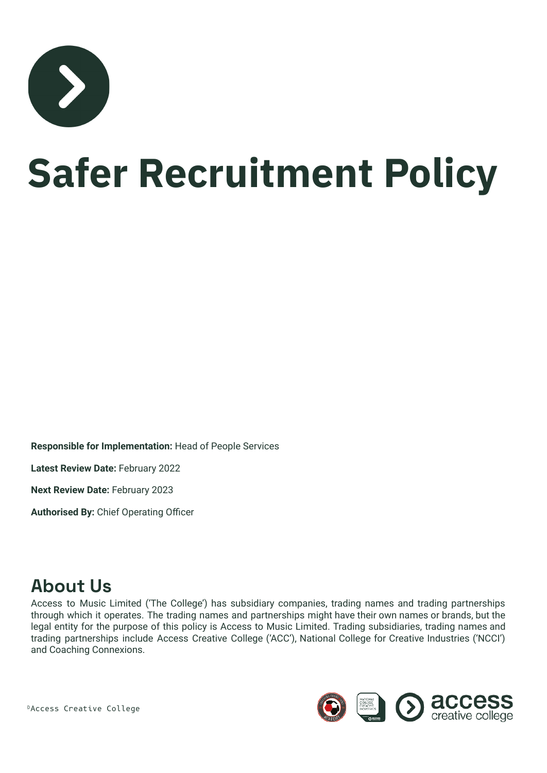

# **Safer Recruitment Policy**

**Responsible for Implementation:** Head of People Services

**Latest Review Date:** February 2022

**Next Review Date:** February 2023

**Authorised By:** Chief Operating Officer

### **About Us**

Access to Music Limited ('The College') has subsidiary companies, trading names and trading partnerships through which it operates. The trading names and partnerships might have their own names or brands, but the legal entity for the purpose of this policy is Access to Music Limited. Trading subsidiaries, trading names and trading partnerships include Access Creative College ('ACC'), National College for Creative Industries ('NCCI') and Coaching Connexions.



©Access Creative College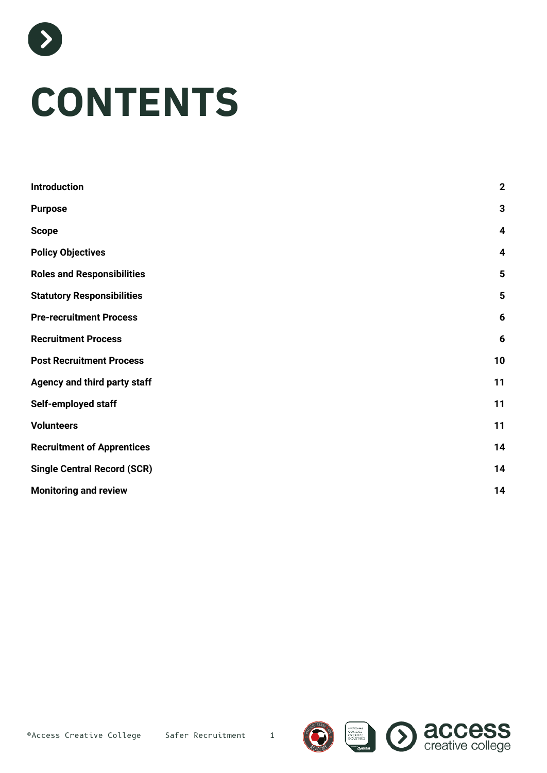

| <b>Introduction</b>                | $\overline{2}$          |
|------------------------------------|-------------------------|
| <b>Purpose</b>                     | 3                       |
| <b>Scope</b>                       | $\overline{\mathbf{4}}$ |
| <b>Policy Objectives</b>           | 4                       |
| <b>Roles and Responsibilities</b>  | 5                       |
| <b>Statutory Responsibilities</b>  | $5\phantom{1}$          |
| <b>Pre-recruitment Process</b>     | 6                       |
| <b>Recruitment Process</b>         | 6                       |
| <b>Post Recruitment Process</b>    | 10                      |
| Agency and third party staff       | 11                      |
| Self-employed staff                | 11                      |
| <b>Volunteers</b>                  | 11                      |
| <b>Recruitment of Apprentices</b>  | 14                      |
| <b>Single Central Record (SCR)</b> | 14                      |
| <b>Monitoring and review</b>       | 14                      |





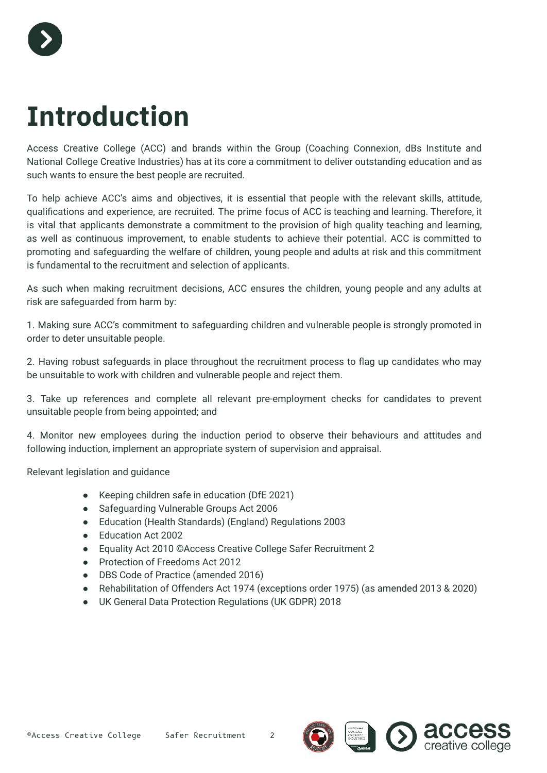

### <span id="page-2-0"></span>**Introduction**

Access Creative College (ACC) and brands within the Group (Coaching Connexion, dBs Institute and National College Creative Industries) has at its core a commitment to deliver outstanding education and as such wants to ensure the best people are recruited.

To help achieve ACC's aims and objectives, it is essential that people with the relevant skills, attitude, qualifications and experience, are recruited. The prime focus of ACC is teaching and learning. Therefore, it is vital that applicants demonstrate a commitment to the provision of high quality teaching and learning, as well as continuous improvement, to enable students to achieve their potential. ACC is committed to promoting and safeguarding the welfare of children, young people and adults at risk and this commitment is fundamental to the recruitment and selection of applicants.

As such when making recruitment decisions, ACC ensures the children, young people and any adults at risk are safeguarded from harm by:

1. Making sure ACC's commitment to safeguarding children and vulnerable people is strongly promoted in order to deter unsuitable people.

2. Having robust safeguards in place throughout the recruitment process to flag up candidates who may be unsuitable to work with children and vulnerable people and reject them.

3. Take up references and complete all relevant pre-employment checks for candidates to prevent unsuitable people from being appointed; and

4. Monitor new employees during the induction period to observe their behaviours and attitudes and following induction, implement an appropriate system of supervision and appraisal.

Relevant legislation and guidance

- Keeping children safe in education (DfE 2021)
- Safeguarding Vulnerable Groups Act 2006
- Education (Health Standards) (England) Regulations 2003
- Education Act 2002
- Equality Act 2010 ©Access Creative College Safer Recruitment 2
- Protection of Freedoms Act 2012
- DBS Code of Practice (amended 2016)
- Rehabilitation of Offenders Act 1974 (exceptions order 1975) (as amended 2013 & 2020)
- UK General Data Protection Regulations (UK GDPR) 2018





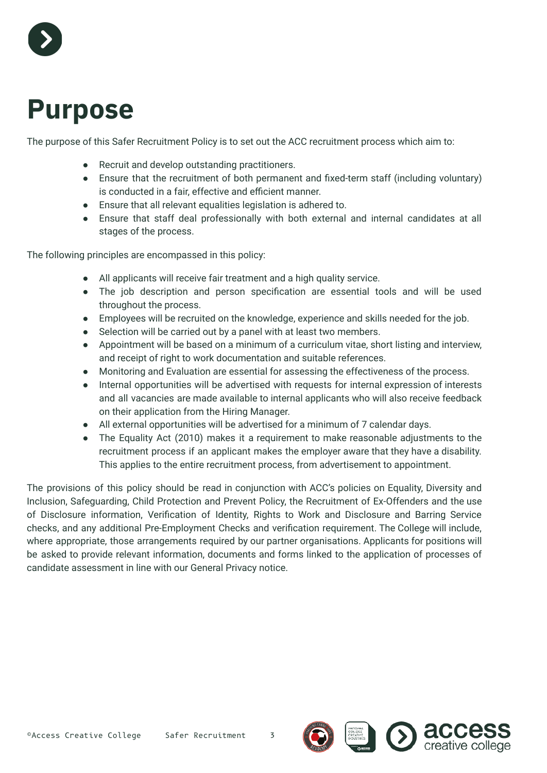

### <span id="page-3-0"></span>**Purpose**

The purpose of this Safer Recruitment Policy is to set out the ACC recruitment process which aim to:

- Recruit and develop outstanding practitioners.
- Ensure that the recruitment of both permanent and fixed-term staff (including voluntary) is conducted in a fair, effective and efficient manner.
- Ensure that all relevant equalities legislation is adhered to.
- Ensure that staff deal professionally with both external and internal candidates at all stages of the process.

The following principles are encompassed in this policy:

- All applicants will receive fair treatment and a high quality service.
- The job description and person specification are essential tools and will be used throughout the process.
- Employees will be recruited on the knowledge, experience and skills needed for the job.
- Selection will be carried out by a panel with at least two members.
- Appointment will be based on a minimum of a curriculum vitae, short listing and interview, and receipt of right to work documentation and suitable references.
- Monitoring and Evaluation are essential for assessing the effectiveness of the process.
- Internal opportunities will be advertised with requests for internal expression of interests and all vacancies are made available to internal applicants who will also receive feedback on their application from the Hiring Manager.
- All external opportunities will be advertised for a minimum of 7 calendar days.
- The Equality Act (2010) makes it a requirement to make reasonable adjustments to the recruitment process if an applicant makes the employer aware that they have a disability. This applies to the entire recruitment process, from advertisement to appointment.

The provisions of this policy should be read in conjunction with ACC's policies on Equality, Diversity and Inclusion, Safeguarding, Child Protection and Prevent Policy, the Recruitment of Ex-Offenders and the use of Disclosure information, Verification of Identity, Rights to Work and Disclosure and Barring Service checks, and any additional Pre-Employment Checks and verification requirement. The College will include, where appropriate, those arrangements required by our partner organisations. Applicants for positions will be asked to provide relevant information, documents and forms linked to the application of processes of candidate assessment in line with our General Privacy notice.

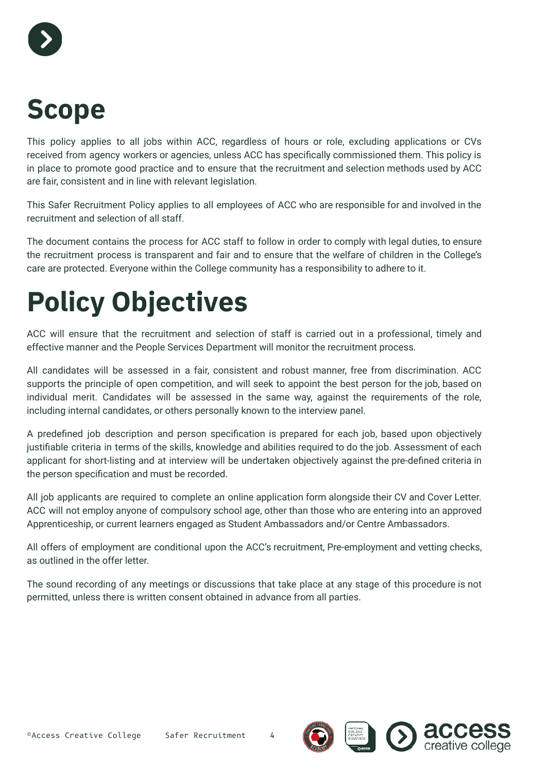

### <span id="page-4-0"></span>**Scope**

This policy applies to all jobs within ACC, regardless of hours or role, excluding applications or CVs received from agency workers or agencies, unless ACC has specifically commissioned them. This policy is in place to promote good practice and to ensure that the recruitment and selection methods used by ACC are fair, consistent and in line with relevant legislation.

This Safer Recruitment Policy applies to all employees of ACC who are responsible for and involved in the recruitment and selection of all staff.

The document contains the process for ACC staff to follow in order to comply with legal duties, to ensure the recruitment process is transparent and fair and to ensure that the welfare of children in the College's care are protected. Everyone within the College community has a responsibility to adhere to it.

## <span id="page-4-1"></span>**Policy Objectives**

ACC will ensure that the recruitment and selection of staff is carried out in a professional, timely and effective manner and the People Services Department will monitor the recruitment process.

All candidates will be assessed in a fair, consistent and robust manner, free from discrimination. ACC supports the principle of open competition, and will seek to appoint the best person for the job, based on individual merit. Candidates will be assessed in the same way, against the requirements of the role, including internal candidates, or others personally known to the interview panel.

A predefined job description and person specification is prepared for each job, based upon objectively justifiable criteria in terms of the skills, knowledge and abilities required to do the job. Assessment of each applicant for short-listing and at interview will be undertaken objectively against the pre-defined criteria in the person specification and must be recorded.

All job applicants are required to complete an online application form alongside their CV and Cover Letter. ACC will not employ anyone of compulsory school age, other than those who are entering into an approved Apprenticeship, or current learners engaged as Student Ambassadors and/or Centre Ambassadors.

All offers of employment are conditional upon the ACC's recruitment, Pre-employment and vetting checks, as outlined in the offer letter.

The sound recording of any meetings or discussions that take place at any stage of this procedure is not permitted, unless there is written consent obtained in advance from all parties.



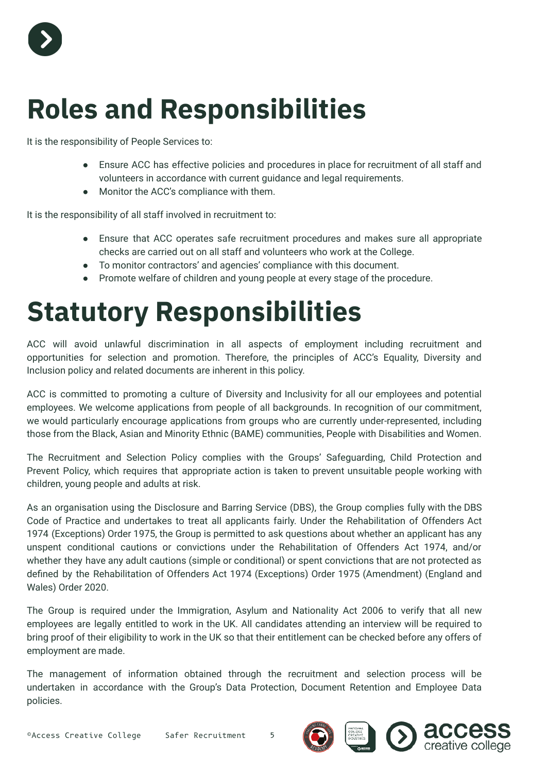

### <span id="page-5-0"></span>**Roles and Responsibilities**

It is the responsibility of People Services to:

- Ensure ACC has effective policies and procedures in place for recruitment of all staff and volunteers in accordance with current guidance and legal requirements.
- Monitor the ACC's compliance with them.

It is the responsibility of all staff involved in recruitment to:

- Ensure that ACC operates safe recruitment procedures and makes sure all appropriate checks are carried out on all staff and volunteers who work at the College.
- To monitor contractors' and agencies' compliance with this document.
- <span id="page-5-1"></span>● Promote welfare of children and young people at every stage of the procedure.

### **Statutory Responsibilities**

ACC will avoid unlawful discrimination in all aspects of employment including recruitment and opportunities for selection and promotion. Therefore, the principles of ACC's Equality, Diversity and Inclusion policy and related documents are inherent in this policy.

ACC is committed to promoting a culture of Diversity and Inclusivity for all our employees and potential employees. We welcome applications from people of all backgrounds. In recognition of our commitment, we would particularly encourage applications from groups who are currently under-represented, including those from the Black, Asian and Minority Ethnic (BAME) communities, People with Disabilities and Women.

The Recruitment and Selection Policy complies with the Groups' Safeguarding, Child Protection and Prevent Policy, which requires that appropriate action is taken to prevent unsuitable people working with children, young people and adults at risk.

As an organisation using the Disclosure and Barring Service (DBS), the Group complies fully with the DBS Code of Practice and undertakes to treat all applicants fairly. Under the Rehabilitation of Offenders Act 1974 (Exceptions) Order 1975, the Group is permitted to ask questions about whether an applicant has any unspent conditional cautions or convictions under the Rehabilitation of Offenders Act 1974, and/or whether they have any adult cautions (simple or conditional) or spent convictions that are not protected as defined by the Rehabilitation of Offenders Act 1974 (Exceptions) Order 1975 (Amendment) (England and Wales) Order 2020.

The Group is required under the Immigration, Asylum and Nationality Act 2006 to verify that all new employees are legally entitled to work in the UK. All candidates attending an interview will be required to bring proof of their eligibility to work in the UK so that their entitlement can be checked before any offers of employment are made.

The management of information obtained through the recruitment and selection process will be undertaken in accordance with the Group's Data Protection, Document Retention and Employee Data policies.

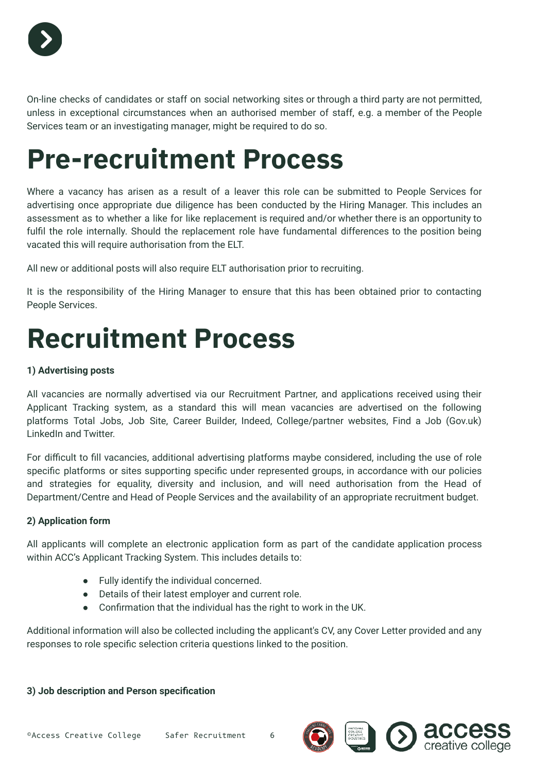

On-line checks of candidates or staff on social networking sites or through a third party are not permitted, unless in exceptional circumstances when an authorised member of staff, e.g. a member of the People Services team or an investigating manager, might be required to do so.

### <span id="page-6-0"></span>**Pre-recruitment Process**

Where a vacancy has arisen as a result of a leaver this role can be submitted to People Services for advertising once appropriate due diligence has been conducted by the Hiring Manager. This includes an assessment as to whether a like for like replacement is required and/or whether there is an opportunity to fulfil the role internally. Should the replacement role have fundamental differences to the position being vacated this will require authorisation from the ELT.

All new or additional posts will also require ELT authorisation prior to recruiting.

It is the responsibility of the Hiring Manager to ensure that this has been obtained prior to contacting People Services.

### <span id="page-6-1"></span>**Recruitment Process**

#### **1) Advertising posts**

All vacancies are normally advertised via our Recruitment Partner, and applications received using their Applicant Tracking system, as a standard this will mean vacancies are advertised on the following platforms Total Jobs, Job Site, Career Builder, Indeed, College/partner websites, Find a Job (Gov.uk) LinkedIn and Twitter.

For difficult to fill vacancies, additional advertising platforms maybe considered, including the use of role specific platforms or sites supporting specific under represented groups, in accordance with our policies and strategies for equality, diversity and inclusion, and will need authorisation from the Head of Department/Centre and Head of People Services and the availability of an appropriate recruitment budget.

#### **2) Application form**

All applicants will complete an electronic application form as part of the candidate application process within ACC's Applicant Tracking System. This includes details to:

- Fully identify the individual concerned.
- Details of their latest employer and current role.
- Confirmation that the individual has the right to work in the UK.

Additional information will also be collected including the applicant's CV, any Cover Letter provided and any responses to role specific selection criteria questions linked to the position.

#### **3) Job description and Person specification**





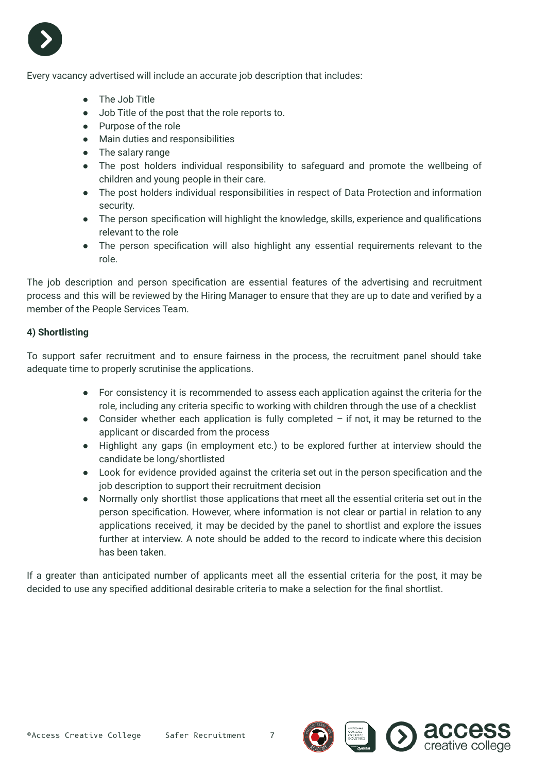

Every vacancy advertised will include an accurate job description that includes:

- The Job Title
- Job Title of the post that the role reports to.
- Purpose of the role
- Main duties and responsibilities
- The salary range
- The post holders individual responsibility to safeguard and promote the wellbeing of children and young people in their care.
- The post holders individual responsibilities in respect of Data Protection and information security.
- The person specification will highlight the knowledge, skills, experience and qualifications relevant to the role
- The person specification will also highlight any essential requirements relevant to the role.

The job description and person specification are essential features of the advertising and recruitment process and this will be reviewed by the Hiring Manager to ensure that they are up to date and verified by a member of the People Services Team.

#### **4) Shortlisting**

To support safer recruitment and to ensure fairness in the process, the recruitment panel should take adequate time to properly scrutinise the applications.

- For consistency it is recommended to assess each application against the criteria for the role, including any criteria specific to working with children through the use of a checklist
- Consider whether each application is fully completed if not, it may be returned to the applicant or discarded from the process
- Highlight any gaps (in employment etc.) to be explored further at interview should the candidate be long/shortlisted
- Look for evidence provided against the criteria set out in the person specification and the job description to support their recruitment decision
- Normally only shortlist those applications that meet all the essential criteria set out in the person specification. However, where information is not clear or partial in relation to any applications received, it may be decided by the panel to shortlist and explore the issues further at interview. A note should be added to the record to indicate where this decision has been taken.

If a greater than anticipated number of applicants meet all the essential criteria for the post, it may be decided to use any specified additional desirable criteria to make a selection for the final shortlist.

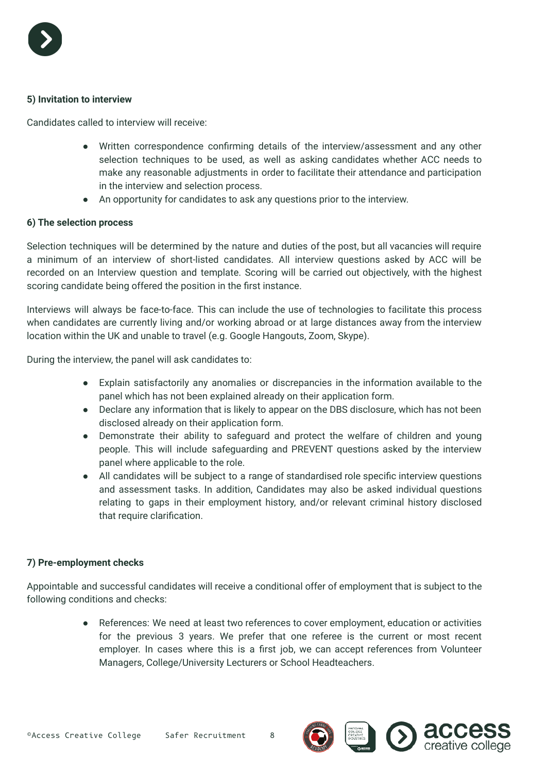

#### **5) Invitation to interview**

Candidates called to interview will receive:

- Written correspondence confirming details of the interview/assessment and any other selection techniques to be used, as well as asking candidates whether ACC needs to make any reasonable adjustments in order to facilitate their attendance and participation in the interview and selection process.
- An opportunity for candidates to ask any questions prior to the interview.

#### **6) The selection process**

Selection techniques will be determined by the nature and duties of the post, but all vacancies will require a minimum of an interview of short-listed candidates. All interview questions asked by ACC will be recorded on an Interview question and template. Scoring will be carried out objectively, with the highest scoring candidate being offered the position in the first instance.

Interviews will always be face-to-face. This can include the use of technologies to facilitate this process when candidates are currently living and/or working abroad or at large distances away from the interview location within the UK and unable to travel (e.g. Google Hangouts, Zoom, Skype).

During the interview, the panel will ask candidates to:

- Explain satisfactorily any anomalies or discrepancies in the information available to the panel which has not been explained already on their application form.
- Declare any information that is likely to appear on the DBS disclosure, which has not been disclosed already on their application form.
- Demonstrate their ability to safeguard and protect the welfare of children and young people. This will include safeguarding and PREVENT questions asked by the interview panel where applicable to the role.
- All candidates will be subject to a range of standardised role specific interview questions and assessment tasks. In addition, Candidates may also be asked individual questions relating to gaps in their employment history, and/or relevant criminal history disclosed that require clarification.

#### **7) Pre-employment checks**

Appointable and successful candidates will receive a conditional offer of employment that is subject to the following conditions and checks:

> ● References: We need at least two references to cover employment, education or activities for the previous 3 years. We prefer that one referee is the current or most recent employer. In cases where this is a first job, we can accept references from Volunteer Managers, College/University Lecturers or School Headteachers.

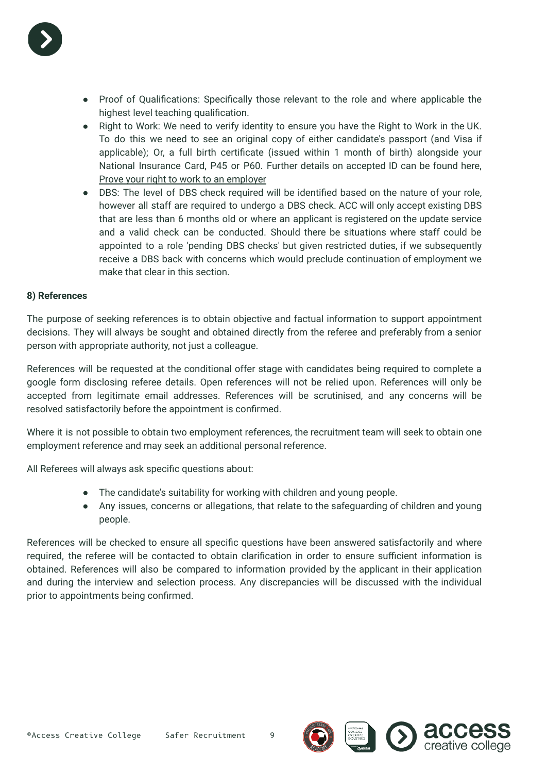

- Proof of Qualifications: Specifically those relevant to the role and where applicable the highest level teaching qualification.
- Right to Work: We need to verify identity to ensure you have the Right to Work in the UK. To do this we need to see an original copy of either candidate's passport (and Visa if applicable); Or, a full birth certificate (issued within 1 month of birth) alongside your National Insurance Card, P45 or P60. Further details on accepted ID can be found here, [Prove your right to work to an employer](https://www.gov.uk/prove-right-to-work)
- DBS: The level of DBS check required will be identified based on the nature of your role, however all staff are required to undergo a DBS check. ACC will only accept existing DBS that are less than 6 months old or where an applicant is registered on the update service and a valid check can be conducted. Should there be situations where staff could be appointed to a role 'pending DBS checks' but given restricted duties, if we subsequently receive a DBS back with concerns which would preclude continuation of employment we make that clear in this section.

#### **8) References**

The purpose of seeking references is to obtain objective and factual information to support appointment decisions. They will always be sought and obtained directly from the referee and preferably from a senior person with appropriate authority, not just a colleague.

References will be requested at the conditional offer stage with candidates being required to complete a google form disclosing referee details. Open references will not be relied upon. References will only be accepted from legitimate email addresses. References will be scrutinised, and any concerns will be resolved satisfactorily before the appointment is confirmed.

Where it is not possible to obtain two employment references, the recruitment team will seek to obtain one employment reference and may seek an additional personal reference.

All Referees will always ask specific questions about:

- The candidate's suitability for working with children and young people.
- Any issues, concerns or allegations, that relate to the safeguarding of children and young people.

References will be checked to ensure all specific questions have been answered satisfactorily and where required, the referee will be contacted to obtain clarification in order to ensure sufficient information is obtained. References will also be compared to information provided by the applicant in their application and during the interview and selection process. Any discrepancies will be discussed with the individual prior to appointments being confirmed.





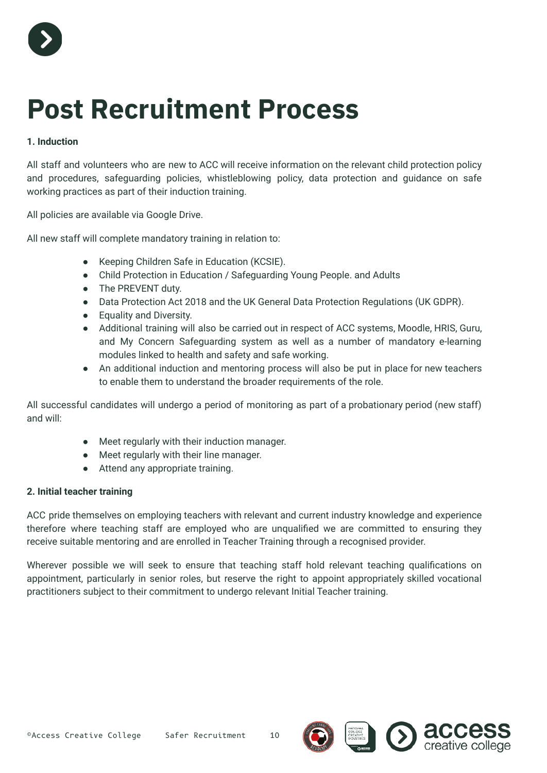

### <span id="page-10-0"></span>**Post Recruitment Process**

#### **1. Induction**

All staff and volunteers who are new to ACC will receive information on the relevant child protection policy and procedures, safeguarding policies, whistleblowing policy, data protection and guidance on safe working practices as part of their induction training.

All policies are available via Google Drive.

All new staff will complete mandatory training in relation to:

- Keeping Children Safe in Education (KCSIE).
- Child Protection in Education / Safeguarding Young People. and Adults
- The PREVENT duty.
- Data Protection Act 2018 and the UK General Data Protection Regulations (UK GDPR).
- Equality and Diversity.
- Additional training will also be carried out in respect of ACC systems, Moodle, HRIS, Guru, and My Concern Safeguarding system as well as a number of mandatory e-learning modules linked to health and safety and safe working.
- An additional induction and mentoring process will also be put in place for new teachers to enable them to understand the broader requirements of the role.

All successful candidates will undergo a period of monitoring as part of a probationary period (new staff) and will:

- Meet regularly with their induction manager.
- Meet regularly with their line manager.
- Attend any appropriate training.

#### **2. Initial teacher training**

ACC pride themselves on employing teachers with relevant and current industry knowledge and experience therefore where teaching staff are employed who are unqualified we are committed to ensuring they receive suitable mentoring and are enrolled in Teacher Training through a recognised provider.

Wherever possible we will seek to ensure that teaching staff hold relevant teaching qualifications on appointment, particularly in senior roles, but reserve the right to appoint appropriately skilled vocational practitioners subject to their commitment to undergo relevant Initial Teacher training.





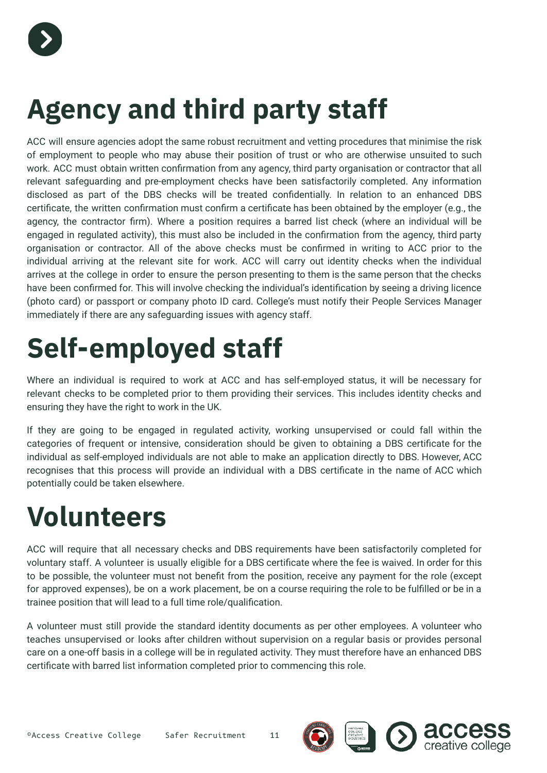

### <span id="page-11-0"></span>**Agency and third party staff**

ACC will ensure agencies adopt the same robust recruitment and vetting procedures that minimise the risk of employment to people who may abuse their position of trust or who are otherwise unsuited to such work. ACC must obtain written confirmation from any agency, third party organisation or contractor that all relevant safeguarding and pre-employment checks have been satisfactorily completed. Any information disclosed as part of the DBS checks will be treated confidentially. In relation to an enhanced DBS certificate, the written confirmation must confirm a certificate has been obtained by the employer (e.g., the agency, the contractor firm). Where a position requires a barred list check (where an individual will be engaged in regulated activity), this must also be included in the confirmation from the agency, third party organisation or contractor. All of the above checks must be confirmed in writing to ACC prior to the individual arriving at the relevant site for work. ACC will carry out identity checks when the individual arrives at the college in order to ensure the person presenting to them is the same person that the checks have been confirmed for. This will involve checking the individual's identification by seeing a driving licence (photo card) or passport or company photo ID card. College's must notify their People Services Manager immediately if there are any safeguarding issues with agency staff.

### <span id="page-11-1"></span>**Self-employed staff**

Where an individual is required to work at ACC and has self-employed status, it will be necessary for relevant checks to be completed prior to them providing their services. This includes identity checks and ensuring they have the right to work in the UK.

If they are going to be engaged in regulated activity, working unsupervised or could fall within the categories of frequent or intensive, consideration should be given to obtaining a DBS certificate for the individual as self-employed individuals are not able to make an application directly to DBS. However, ACC recognises that this process will provide an individual with a DBS certificate in the name of ACC which potentially could be taken elsewhere.

### <span id="page-11-2"></span>**Volunteers**

ACC will require that all necessary checks and DBS requirements have been satisfactorily completed for voluntary staff. A volunteer is usually eligible for a DBS certificate where the fee is waived. In order for this to be possible, the volunteer must not benefit from the position, receive any payment for the role (except for approved expenses), be on a work placement, be on a course requiring the role to be fulfilled or be in a trainee position that will lead to a full time role/qualification.

A volunteer must still provide the standard identity documents as per other employees. A volunteer who teaches unsupervised or looks after children without supervision on a regular basis or provides personal care on a one-off basis in a college will be in regulated activity. They must therefore have an enhanced DBS certificate with barred list information completed prior to commencing this role.